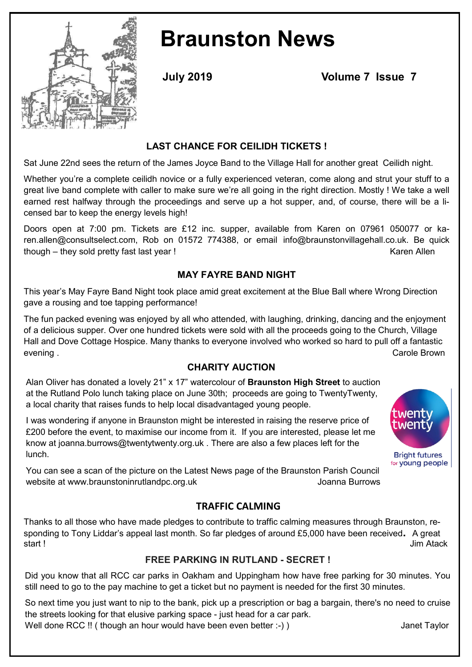

# **Braunston News**

**July 2019 Volume 7 Issue 7**

#### **LAST CHANCE FOR CEILIDH TICKETS !**

Sat June 22nd sees the return of the James Joyce Band to the Village Hall for another great Ceilidh night.

Whether you're a complete ceilidh novice or a fully experienced veteran, come along and strut your stuff to a great live band complete with caller to make sure we're all going in the right direction. Mostly ! We take a well earned rest halfway through the proceedings and serve up a hot supper, and, of course, there will be a licensed bar to keep the energy levels high!

Doors open at 7:00 pm. Tickets are £12 inc. supper, available from Karen on 07961 050077 or karen.allen@consultselect.com, Rob on 01572 774388, or email info@braunstonvillagehall.co.uk. Be quick though – they sold pretty fast last year ! The state of the state of the state of the Karen Allen

#### **MAY FAYRE BAND NIGHT**

This year's May Fayre Band Night took place amid great excitement at the Blue Ball where Wrong Direction gave a rousing and toe tapping performance!

The fun packed evening was enjoyed by all who attended, with laughing, drinking, dancing and the enjoyment of a delicious supper. Over one hundred tickets were sold with all the proceeds going to the Church, Village Hall and Dove Cottage Hospice. Many thanks to everyone involved who worked so hard to pull off a fantastic evening . Carole Brown

#### **CHARITY AUCTION**

Alan Oliver has donated a lovely 21" x 17" watercolour of **Braunston High Street** to auction at the Rutland Polo lunch taking place on June 30th; proceeds are going to TwentyTwenty, a local charity that raises funds to help local disadvantaged young people.

I was wondering if anyone in Braunston might be interested in raising the reserve price of £200 before the event, to maximise our income from it. If you are interested, please let me know at joanna.burrows@twentytwenty.org.uk . There are also a few places left for the lunch.



You can see a scan of the picture on the Latest News page of the Braunston Parish Council website at www.braunstoninrutlandpc.org.uk vertex website at www.braunstoninrutlandpc.org.uk

#### **TRAFFIC CALMING**

Thanks to all those who have made pledges to contribute to traffic calming measures through Braunston, responding to Tony Liddar's appeal last month. So far pledges of around £5,000 have been received**.** A great start ! Jim Atack

#### **FREE PARKING IN RUTLAND - SECRET !**

Did you know that all RCC car parks in Oakham and Uppingham how have free parking for 30 minutes. You still need to go to the pay machine to get a ticket but no payment is needed for the first 30 minutes.

So next time you just want to nip to the bank, pick up a prescription or bag a bargain, there's no need to cruise the streets looking for that elusive parking space - just head for a car park.

Well done RCC !! ( though an hour would have been even better :-) ) Janet Taylor